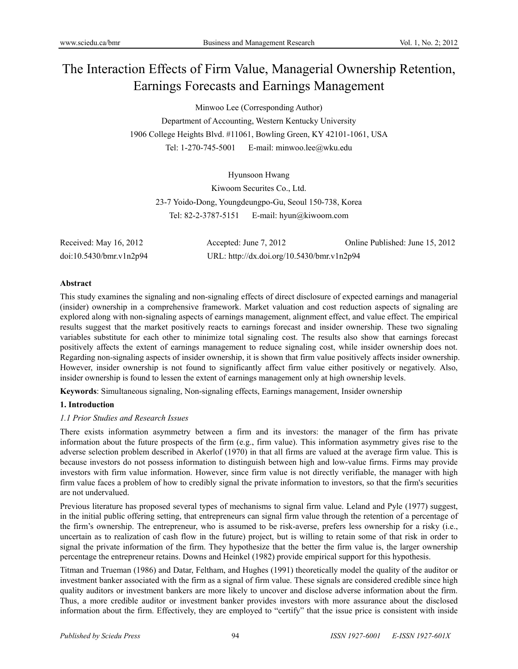# The Interaction Effects of Firm Value, Managerial Ownership Retention, Earnings Forecasts and Earnings Management

Minwoo Lee (Corresponding Author) Department of Accounting, Western Kentucky University 1906 College Heights Blvd. #11061, Bowling Green, KY 42101-1061, USA Tel: 1-270-745-5001 E-mail: minwoo.lee@wku.edu

Hyunsoon Hwang Kiwoom Securites Co., Ltd. 23-7 Yoido-Dong, Youngdeungpo-Gu, Seoul 150-738, Korea Tel: 82-2-3787-5151 E-mail: hyun@kiwoom.com

Received: May 16, 2012 Accepted: June 7, 2012 Online Published: June 15, 2012 doi:10.5430/bmr.v1n2p94 URL: http://dx.doi.org/10.5430/bmr.v1n2p94

# **Abstract**

This study examines the signaling and non-signaling effects of direct disclosure of expected earnings and managerial (insider) ownership in a comprehensive framework. Market valuation and cost reduction aspects of signaling are explored along with non-signaling aspects of earnings management, alignment effect, and value effect. The empirical results suggest that the market positively reacts to earnings forecast and insider ownership. These two signaling variables substitute for each other to minimize total signaling cost. The results also show that earnings forecast positively affects the extent of earnings management to reduce signaling cost, while insider ownership does not. Regarding non-signaling aspects of insider ownership, it is shown that firm value positively affects insider ownership. However, insider ownership is not found to significantly affect firm value either positively or negatively. Also, insider ownership is found to lessen the extent of earnings management only at high ownership levels.

**Keywords**: Simultaneous signaling, Non-signaling effects, Earnings management, Insider ownership

# **1. Introduction**

# *1.1 Prior Studies and Research Issues*

There exists information asymmetry between a firm and its investors: the manager of the firm has private information about the future prospects of the firm (e.g., firm value). This information asymmetry gives rise to the adverse selection problem described in Akerlof (1970) in that all firms are valued at the average firm value. This is because investors do not possess information to distinguish between high and low-value firms. Firms may provide investors with firm value information. However, since firm value is not directly verifiable, the manager with high firm value faces a problem of how to credibly signal the private information to investors, so that the firm's securities are not undervalued.

Previous literature has proposed several types of mechanisms to signal firm value. Leland and Pyle (1977) suggest, in the initial public offering setting, that entrepreneurs can signal firm value through the retention of a percentage of the firm's ownership. The entrepreneur, who is assumed to be risk-averse, prefers less ownership for a risky (i.e., uncertain as to realization of cash flow in the future) project, but is willing to retain some of that risk in order to signal the private information of the firm. They hypothesize that the better the firm value is, the larger ownership percentage the entrepreneur retains. Downs and Heinkel (1982) provide empirical support for this hypothesis.

Titman and Trueman (1986) and Datar, Feltham, and Hughes (1991) theoretically model the quality of the auditor or investment banker associated with the firm as a signal of firm value. These signals are considered credible since high quality auditors or investment bankers are more likely to uncover and disclose adverse information about the firm. Thus, a more credible auditor or investment banker provides investors with more assurance about the disclosed information about the firm. Effectively, they are employed to "certify" that the issue price is consistent with inside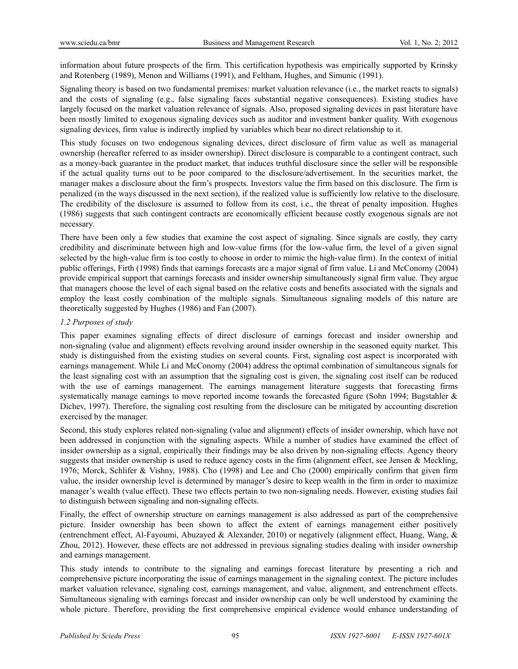information about future prospects of the firm. This certification hypothesis was empirically supported by Krinsky and Rotenberg (1989), Menon and Williams (1991), and Feltham, Hughes, and Simunic (1991).

Signaling theory is based on two fundamental premises: market valuation relevance (i.e., the market reacts to signals) and the costs of signaling (e.g., false signaling faces substantial negative consequences). Existing studies have largely focused on the market valuation relevance of signals. Also, proposed signaling devices in past literature have been mostly limited to exogenous signaling devices such as auditor and investment banker quality. With exogenous signaling devices, firm value is indirectly implied by variables which bear no direct relationship to it.

This study focuses on two endogenous signaling devices, direct disclosure of firm value as well as managerial ownership (hereafter referred to as insider ownership). Direct disclosure is comparable to a contingent contract, such as a money-back guarantee in the product market, that induces truthful disclosure since the seller will be responsible if the actual quality turns out to be poor compared to the disclosure/advertisement. In the securities market, the manager makes a disclosure about the firm's prospects. Investors value the firm based on this disclosure. The firm is penalized (in the ways discussed in the next section), if the realized value is sufficiently low relative to the disclosure. The credibility of the disclosure is assumed to follow from its cost, i.e., the threat of penalty imposition. Hughes (1986) suggests that such contingent contracts are economically efficient because costly exogenous signals are not necessary.

There have been only a few studies that examine the cost aspect of signaling. Since signals are costly, they carry credibility and discriminate between high and low-value firms (for the low-value firm, the level of a given signal selected by the high-value firm is too costly to choose in order to mimic the high-value firm). In the context of initial public offerings, Firth (1998) finds that earnings forecasts are a major signal of firm value. Li and McConomy (2004) provide empirical support that earnings forecasts and insider ownership simultaneously signal firm value. They argue that managers choose the level of each signal based on the relative costs and benefits associated with the signals and employ the least costly combination of the multiple signals. Simultaneous signaling models of this nature are theoretically suggested by Hughes (1986) and Fan (2007).

# *1.2 Purposes of study*

This paper examines signaling effects of direct disclosure of earnings forecast and insider ownership and non-signaling (value and alignment) effects revolving around insider ownership in the seasoned equity market. This study is distinguished from the existing studies on several counts. First, signaling cost aspect is incorporated with earnings management. While Li and McConomy (2004) address the optimal combination of simultaneous signals for the least signaling cost with an assumption that the signaling cost is given, the signaling cost itself can be reduced with the use of earnings management. The earnings management literature suggests that forecasting firms systematically manage earnings to move reported income towards the forecasted figure (Sohn 1994; Bugstahler & Dichev, 1997). Therefore, the signaling cost resulting from the disclosure can be mitigated by accounting discretion exercised by the manager.

Second, this study explores related non-signaling (value and alignment) effects of insider ownership, which have not been addressed in conjunction with the signaling aspects. While a number of studies have examined the effect of insider ownership as a signal, empirically their findings may be also driven by non-signaling effects. Agency theory suggests that insider ownership is used to reduce agency costs in the firm (alignment effect, see Jensen & Meckling, 1976; Morck, Schlifer & Vishny, 1988). Cho (1998) and Lee and Cho (2000) empirically confirm that given firm value, the insider ownership level is determined by manager's desire to keep wealth in the firm in order to maximize manager's wealth (value effect). These two effects pertain to two non-signaling needs. However, existing studies fail to distinguish between signaling and non-signaling effects.

Finally, the effect of ownership structure on earnings management is also addressed as part of the comprehensive picture. Insider ownership has been shown to affect the extent of earnings management either positively (entrenchment effect, Al-Fayoumi, Abuzayed & Alexander, 2010) or negatively (alignment effect, Huang, Wang, & Zhou, 2012). However, these effects are not addressed in previous signaling studies dealing with insider ownership and earnings management.

This study intends to contribute to the signaling and earnings forecast literature by presenting a rich and comprehensive picture incorporating the issue of earnings management in the signaling context. The picture includes market valuation relevance, signaling cost, earnings management, and value, alignment, and entrenchment effects. Simultaneous signaling with earnings forecast and insider ownership can only be well understood by examining the whole picture. Therefore, providing the first comprehensive empirical evidence would enhance understanding of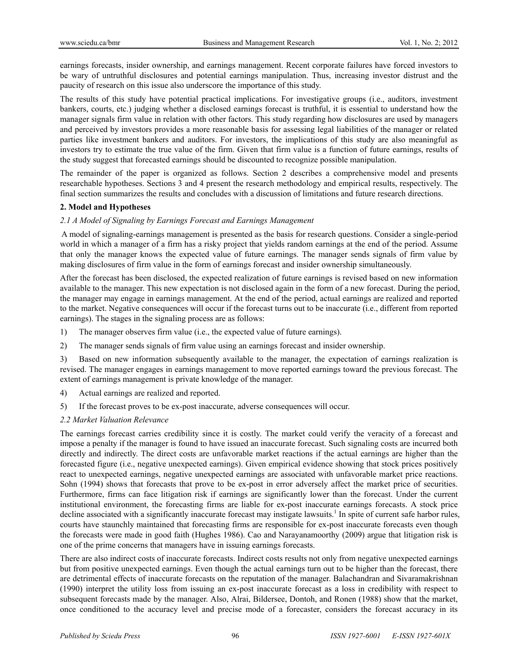earnings forecasts, insider ownership, and earnings management. Recent corporate failures have forced investors to be wary of untruthful disclosures and potential earnings manipulation. Thus, increasing investor distrust and the paucity of research on this issue also underscore the importance of this study.

The results of this study have potential practical implications. For investigative groups (i.e., auditors, investment bankers, courts, etc.) judging whether a disclosed earnings forecast is truthful, it is essential to understand how the manager signals firm value in relation with other factors. This study regarding how disclosures are used by managers and perceived by investors provides a more reasonable basis for assessing legal liabilities of the manager or related parties like investment bankers and auditors. For investors, the implications of this study are also meaningful as investors try to estimate the true value of the firm. Given that firm value is a function of future earnings, results of the study suggest that forecasted earnings should be discounted to recognize possible manipulation.

The remainder of the paper is organized as follows. Section 2 describes a comprehensive model and presents researchable hypotheses. Sections 3 and 4 present the research methodology and empirical results, respectively. The final section summarizes the results and concludes with a discussion of limitations and future research directions.

# **2. Model and Hypotheses**

# *2.1 A Model of Signaling by Earnings Forecast and Earnings Management*

 A model of signaling-earnings management is presented as the basis for research questions. Consider a single-period world in which a manager of a firm has a risky project that yields random earnings at the end of the period. Assume that only the manager knows the expected value of future earnings. The manager sends signals of firm value by making disclosures of firm value in the form of earnings forecast and insider ownership simultaneously.

After the forecast has been disclosed, the expected realization of future earnings is revised based on new information available to the manager. This new expectation is not disclosed again in the form of a new forecast. During the period, the manager may engage in earnings management. At the end of the period, actual earnings are realized and reported to the market. Negative consequences will occur if the forecast turns out to be inaccurate (i.e., different from reported earnings). The stages in the signaling process are as follows:

- 1) The manager observes firm value (i.e., the expected value of future earnings).
- 2) The manager sends signals of firm value using an earnings forecast and insider ownership.

3) Based on new information subsequently available to the manager, the expectation of earnings realization is revised. The manager engages in earnings management to move reported earnings toward the previous forecast. The extent of earnings management is private knowledge of the manager.

- 4) Actual earnings are realized and reported.
- 5) If the forecast proves to be ex-post inaccurate, adverse consequences will occur.

# *2.2 Market Valuation Relevance*

The earnings forecast carries credibility since it is costly. The market could verify the veracity of a forecast and impose a penalty if the manager is found to have issued an inaccurate forecast. Such signaling costs are incurred both directly and indirectly. The direct costs are unfavorable market reactions if the actual earnings are higher than the forecasted figure (i.e., negative unexpected earnings). Given empirical evidence showing that stock prices positively react to unexpected earnings, negative unexpected earnings are associated with unfavorable market price reactions. Sohn (1994) shows that forecasts that prove to be ex-post in error adversely affect the market price of securities. Furthermore, firms can face litigation risk if earnings are significantly lower than the forecast. Under the current institutional environment, the forecasting firms are liable for ex-post inaccurate earnings forecasts. A stock price decline associated with a significantly inaccurate forecast may instigate lawsuits.<sup>1</sup> In spite of current safe harbor rules, courts have staunchly maintained that forecasting firms are responsible for ex-post inaccurate forecasts even though the forecasts were made in good faith (Hughes 1986). Cao and Narayanamoorthy (2009) argue that litigation risk is one of the prime concerns that managers have in issuing earnings forecasts.

There are also indirect costs of inaccurate forecasts. Indirect costs results not only from negative unexpected earnings but from positive unexpected earnings. Even though the actual earnings turn out to be higher than the forecast, there are detrimental effects of inaccurate forecasts on the reputation of the manager. Balachandran and Sivaramakrishnan (1990) interpret the utility loss from issuing an ex-post inaccurate forecast as a loss in credibility with respect to subsequent forecasts made by the manager. Also, Alrai, Bildersee, Dontoh, and Ronen (1988) show that the market, once conditioned to the accuracy level and precise mode of a forecaster, considers the forecast accuracy in its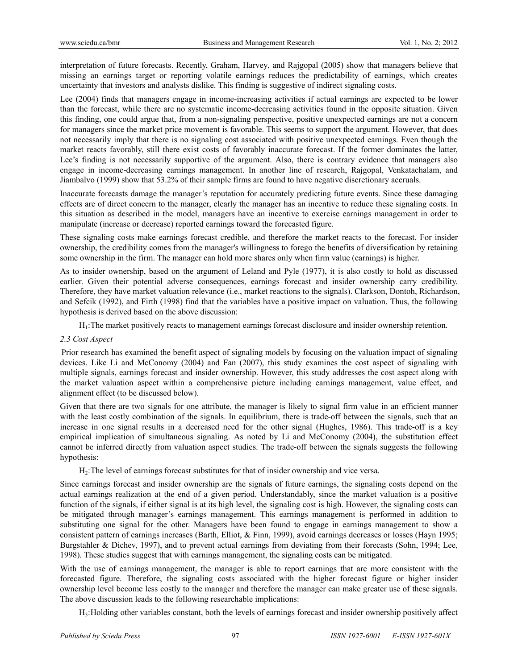interpretation of future forecasts. Recently, Graham, Harvey, and Rajgopal (2005) show that managers believe that missing an earnings target or reporting volatile earnings reduces the predictability of earnings, which creates uncertainty that investors and analysts dislike. This finding is suggestive of indirect signaling costs.

Lee (2004) finds that managers engage in income-increasing activities if actual earnings are expected to be lower than the forecast, while there are no systematic income-decreasing activities found in the opposite situation. Given this finding, one could argue that, from a non-signaling perspective, positive unexpected earnings are not a concern for managers since the market price movement is favorable. This seems to support the argument. However, that does not necessarily imply that there is no signaling cost associated with positive unexpected earnings. Even though the market reacts favorably, still there exist costs of favorably inaccurate forecast. If the former dominates the latter, Lee's finding is not necessarily supportive of the argument. Also, there is contrary evidence that managers also engage in income-decreasing earnings management. In another line of research, Rajgopal, Venkatachalam, and Jiambalvo (1999) show that 53.2% of their sample firms are found to have negative discretionary accruals.

Inaccurate forecasts damage the manager's reputation for accurately predicting future events. Since these damaging effects are of direct concern to the manager, clearly the manager has an incentive to reduce these signaling costs. In this situation as described in the model, managers have an incentive to exercise earnings management in order to manipulate (increase or decrease) reported earnings toward the forecasted figure.

These signaling costs make earnings forecast credible, and therefore the market reacts to the forecast. For insider ownership, the credibility comes from the manager's willingness to forego the benefits of diversification by retaining some ownership in the firm. The manager can hold more shares only when firm value (earnings) is higher.

As to insider ownership, based on the argument of Leland and Pyle (1977), it is also costly to hold as discussed earlier. Given their potential adverse consequences, earnings forecast and insider ownership carry credibility. Therefore, they have market valuation relevance (i.e., market reactions to the signals). Clarkson, Dontoh, Richardson, and Sefcik (1992), and Firth (1998) find that the variables have a positive impact on valuation. Thus, the following hypothesis is derived based on the above discussion:

H1: The market positively reacts to management earnings forecast disclosure and insider ownership retention.

### *2.3 Cost Aspect*

 Prior research has examined the benefit aspect of signaling models by focusing on the valuation impact of signaling devices. Like Li and McConomy (2004) and Fan (2007), this study examines the cost aspect of signaling with multiple signals, earnings forecast and insider ownership. However, this study addresses the cost aspect along with the market valuation aspect within a comprehensive picture including earnings management, value effect, and alignment effect (to be discussed below).

Given that there are two signals for one attribute, the manager is likely to signal firm value in an efficient manner with the least costly combination of the signals. In equilibrium, there is trade-off between the signals, such that an increase in one signal results in a decreased need for the other signal (Hughes, 1986). This trade-off is a key empirical implication of simultaneous signaling. As noted by Li and McConomy (2004), the substitution effect cannot be inferred directly from valuation aspect studies. The trade-off between the signals suggests the following hypothesis:

H<sub>2</sub>: The level of earnings forecast substitutes for that of insider ownership and vice versa.

Since earnings forecast and insider ownership are the signals of future earnings, the signaling costs depend on the actual earnings realization at the end of a given period. Understandably, since the market valuation is a positive function of the signals, if either signal is at its high level, the signaling cost is high. However, the signaling costs can be mitigated through manager's earnings management. This earnings management is performed in addition to substituting one signal for the other. Managers have been found to engage in earnings management to show a consistent pattern of earnings increases (Barth, Elliot, & Finn, 1999), avoid earnings decreases or losses (Hayn 1995; Burgstahler & Dichev, 1997), and to prevent actual earnings from deviating from their forecasts (Sohn, 1994; Lee, 1998). These studies suggest that with earnings management, the signaling costs can be mitigated.

With the use of earnings management, the manager is able to report earnings that are more consistent with the forecasted figure. Therefore, the signaling costs associated with the higher forecast figure or higher insider ownership level become less costly to the manager and therefore the manager can make greater use of these signals. The above discussion leads to the following researchable implications:

H3: Holding other variables constant, both the levels of earnings forecast and insider ownership positively affect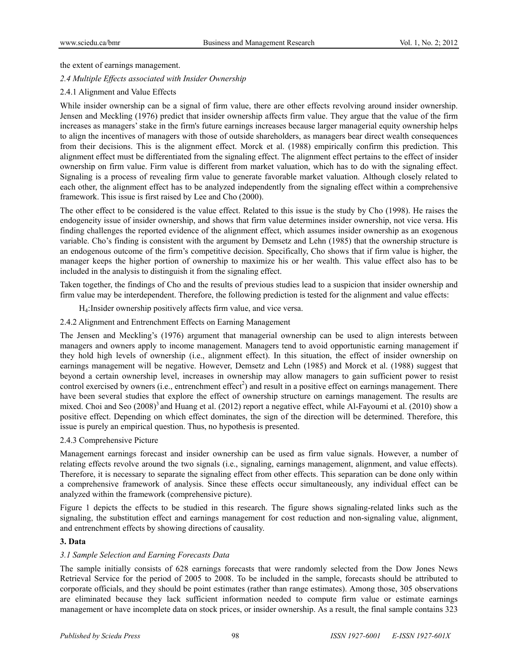the extent of earnings management.

# *2.4 Multiple Effects associated with Insider Ownership*

# 2.4.1 Alignment and Value Effects

While insider ownership can be a signal of firm value, there are other effects revolving around insider ownership. Jensen and Meckling (1976) predict that insider ownership affects firm value. They argue that the value of the firm increases as managers' stake in the firm's future earnings increases because larger managerial equity ownership helps to align the incentives of managers with those of outside shareholders, as managers bear direct wealth consequences from their decisions. This is the alignment effect. Morck et al. (1988) empirically confirm this prediction. This alignment effect must be differentiated from the signaling effect. The alignment effect pertains to the effect of insider ownership on firm value. Firm value is different from market valuation, which has to do with the signaling effect. Signaling is a process of revealing firm value to generate favorable market valuation. Although closely related to each other, the alignment effect has to be analyzed independently from the signaling effect within a comprehensive framework. This issue is first raised by Lee and Cho (2000).

The other effect to be considered is the value effect. Related to this issue is the study by Cho (1998). He raises the endogeneity issue of insider ownership, and shows that firm value determines insider ownership, not vice versa. His finding challenges the reported evidence of the alignment effect, which assumes insider ownership as an exogenous variable. Cho's finding is consistent with the argument by Demsetz and Lehn (1985) that the ownership structure is an endogenous outcome of the firm's competitive decision. Specifically, Cho shows that if firm value is higher, the manager keeps the higher portion of ownership to maximize his or her wealth. This value effect also has to be included in the analysis to distinguish it from the signaling effect.

Taken together, the findings of Cho and the results of previous studies lead to a suspicion that insider ownership and firm value may be interdependent. Therefore, the following prediction is tested for the alignment and value effects:

H4: Insider ownership positively affects firm value, and vice versa.

2.4.2 Alignment and Entrenchment Effects on Earning Management

The Jensen and Meckling's (1976) argument that managerial ownership can be used to align interests between managers and owners apply to income management. Managers tend to avoid opportunistic earning management if they hold high levels of ownership (i.e., alignment effect). In this situation, the effect of insider ownership on earnings management will be negative. However, Demsetz and Lehn (1985) and Morck et al. (1988) suggest that beyond a certain ownership level, increases in ownership may allow managers to gain sufficient power to resist control exercised by owners (i.e., entrenchment effect<sup>2</sup>) and result in a positive effect on earnings management. There have been several studies that explore the effect of ownership structure on earnings management. The results are mixed. Choi and Seo  $(2008)^3$  and Huang et al. (2012) report a negative effect, while Al-Fayoumi et al. (2010) show a positive effect. Depending on which effect dominates, the sign of the direction will be determined. Therefore, this issue is purely an empirical question. Thus, no hypothesis is presented.

# 2.4.3 Comprehensive Picture

Management earnings forecast and insider ownership can be used as firm value signals. However, a number of relating effects revolve around the two signals (i.e., signaling, earnings management, alignment, and value effects). Therefore, it is necessary to separate the signaling effect from other effects. This separation can be done only within a comprehensive framework of analysis. Since these effects occur simultaneously, any individual effect can be analyzed within the framework (comprehensive picture).

Figure 1 depicts the effects to be studied in this research. The figure shows signaling-related links such as the signaling, the substitution effect and earnings management for cost reduction and non-signaling value, alignment, and entrenchment effects by showing directions of causality.

# **3. Data**

# *3.1 Sample Selection and Earning Forecasts Data*

The sample initially consists of 628 earnings forecasts that were randomly selected from the Dow Jones News Retrieval Service for the period of 2005 to 2008. To be included in the sample, forecasts should be attributed to corporate officials, and they should be point estimates (rather than range estimates). Among those, 305 observations are eliminated because they lack sufficient information needed to compute firm value or estimate earnings management or have incomplete data on stock prices, or insider ownership. As a result, the final sample contains 323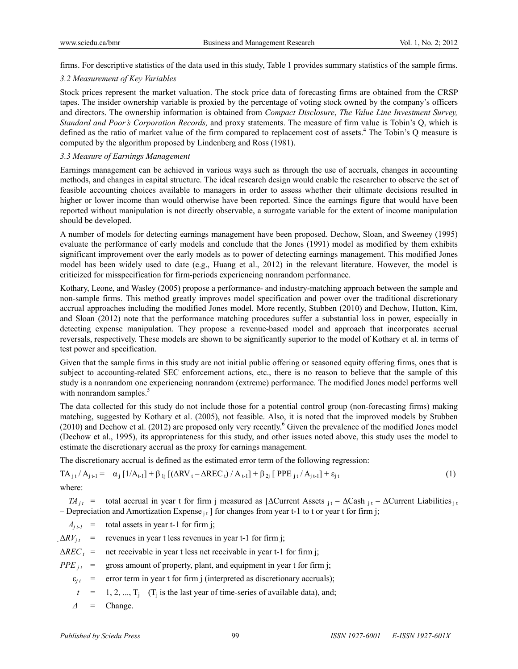firms. For descriptive statistics of the data used in this study, Table 1 provides summary statistics of the sample firms.

#### *3.2 Measurement of Key Variables*

Stock prices represent the market valuation. The stock price data of forecasting firms are obtained from the CRSP tapes. The insider ownership variable is proxied by the percentage of voting stock owned by the company's officers and directors. The ownership information is obtained from *Compact Disclosure*, *The Value Line Investment Survey, Standard and Poor's Corporation Records,* and proxy statements. The measure of firm value is Tobin's Q, which is defined as the ratio of market value of the firm compared to replacement cost of assets.<sup>4</sup> The Tobin's Q measure is computed by the algorithm proposed by Lindenberg and Ross (1981).

#### *3.3 Measure of Earnings Management*

Earnings management can be achieved in various ways such as through the use of accruals, changes in accounting methods, and changes in capital structure. The ideal research design would enable the researcher to observe the set of feasible accounting choices available to managers in order to assess whether their ultimate decisions resulted in higher or lower income than would otherwise have been reported. Since the earnings figure that would have been reported without manipulation is not directly observable, a surrogate variable for the extent of income manipulation should be developed.

A number of models for detecting earnings management have been proposed. Dechow, Sloan, and Sweeney (1995) evaluate the performance of early models and conclude that the Jones (1991) model as modified by them exhibits significant improvement over the early models as to power of detecting earnings management. This modified Jones model has been widely used to date (e.g., Huang et al., 2012) in the relevant literature. However, the model is criticized for misspecification for firm-periods experiencing nonrandom performance.

Kothary, Leone, and Wasley (2005) propose a performance- and industry-matching approach between the sample and non-sample firms. This method greatly improves model specification and power over the traditional discretionary accrual approaches including the modified Jones model. More recently, Stubben (2010) and Dechow, Hutton, Kim, and Sloan (2012) note that the performance matching procedures suffer a substantial loss in power, especially in detecting expense manipulation. They propose a revenue-based model and approach that incorporates accrual reversals, respectively. These models are shown to be significantly superior to the model of Kothary et al. in terms of test power and specification.

Given that the sample firms in this study are not initial public offering or seasoned equity offering firms, ones that is subject to accounting-related SEC enforcement actions, etc., there is no reason to believe that the sample of this study is a nonrandom one experiencing nonrandom (extreme) performance. The modified Jones model performs well with nonrandom samples.<sup>5</sup>

The data collected for this study do not include those for a potential control group (non-forecasting firms) making matching, suggested by Kothary et al. (2005), not feasible. Also, it is noted that the improved models by Stubben  $(2010)$  and Dechow et al.  $(2012)$  are proposed only very recently.<sup>6</sup> Given the prevalence of the modified Jones model (Dechow et al., 1995), its appropriateness for this study, and other issues noted above, this study uses the model to estimate the discretionary accrual as the proxy for earnings management.

The discretionary accrual is defined as the estimated error term of the following regression:

$$
TA_{jt}/A_{j t-1} = \alpha_j [1/A_{t-1}] + \beta_{1j} [(\Delta RV_t - \Delta REC_t)/A_{t-1}] + \beta_{2j} [PPE_{jt}/A_{j t-1}] + \varepsilon_{jt}
$$
\n(1)  
\nwhere:

*TA<sub>it</sub>* = total accrual in year t for firm j measured as  $[\Delta$ Current Assets  $_{it} - \Delta$ Cash  $_{it} - \Delta$ Current Liabilities  $_{it}$ – Depreciation and Amortization Expense  $_{it}$  for changes from year t-1 to t or year t for firm j;

- $A_{i,i-1}$  = total assets in year t-1 for firm j;
- $\Delta RV_{it}$  = revenues in year t less revenues in year t-1 for firm j;
- $\Delta$ *REC*<sub>t</sub> = net receivable in year t less net receivable in year t-1 for firm j;
- *PPE*  $_{it}$  = gross amount of property, plant, and equipment in year t for firm j;
	- $\varepsilon_{it}$  = error term in year t for firm j (interpreted as discretionary accruals);
	- $t = 1, 2, ..., T_i$  (T<sub>i</sub> is the last year of time-series of available data), and;
	- *Δ* = Change.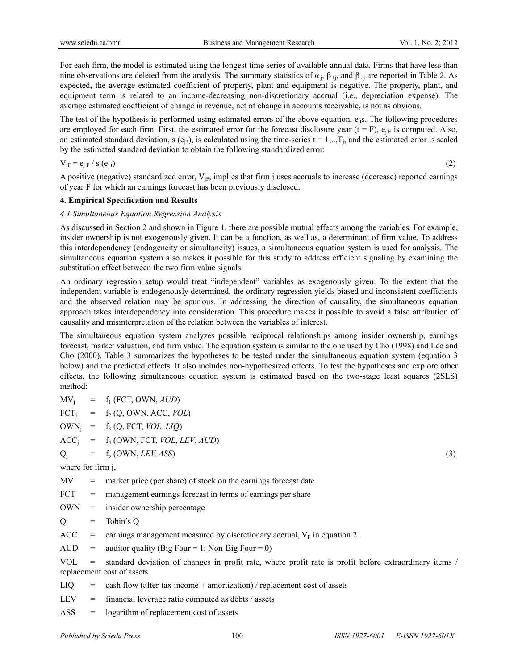For each firm, the model is estimated using the longest time series of available annual data. Firms that have less than nine observations are deleted from the analysis. The summary statistics of  $\alpha_i$ ,  $\beta_{1i}$ , and  $\beta_{2i}$  are reported in Table 2. As expected, the average estimated coefficient of property, plant and equipment is negative. The property, plant, and equipment term is related to an income-decreasing non-discretionary accrual (i.e., depreciation expense). The average estimated coefficient of change in revenue, net of change in accounts receivable, is not as obvious.

The test of the hypothesis is performed using estimated errors of the above equation,  $e_{it}$ s. The following procedures are employed for each firm. First, the estimated error for the forecast disclosure year ( $t = F$ ),  $e_{jF}$  is computed. Also, an estimated standard deviation, s ( $e_i$ ), is calculated using the time-series  $t = 1, ..., T_i$ , and the estimated error is scaled by the estimated standard deviation to obtain the following standardized error:

$$
V_{jF} = e_{jF} / s (e_{jt})
$$
 (2)

A positive (negative) standardized error,  $V_{IF}$ , implies that firm j uses accruals to increase (decrease) reported earnings of year F for which an earnings forecast has been previously disclosed.

#### **4. Empirical Specification and Results**

#### *4.1 Simultaneous Equation Regression Analysis*

As discussed in Section 2 and shown in Figure 1, there are possible mutual effects among the variables. For example, insider ownership is not exogenously given. It can be a function, as well as, a determinant of firm value. To address this interdependency (endogeneity or simultaneity) issues, a simultaneous equation system is used for analysis. The simultaneous equation system also makes it possible for this study to address efficient signaling by examining the substitution effect between the two firm value signals.

An ordinary regression setup would treat "independent" variables as exogenously given. To the extent that the independent variable is endogenously determined, the ordinary regression yields biased and inconsistent coefficients and the observed relation may be spurious. In addressing the direction of causality, the simultaneous equation approach takes interdependency into consideration. This procedure makes it possible to avoid a false attribution of causality and misinterpretation of the relation between the variables of interest.

The simultaneous equation system analyzes possible reciprocal relationships among insider ownership, earnings forecast, market valuation, and firm value. The equation system is similar to the one used by Cho (1998) and Lee and Cho (2000). Table 3 summarizes the hypotheses to be tested under the simultaneous equation system (equation 3 below) and the predicted effects. It also includes non-hypothesized effects. To test the hypotheses and explore other effects, the following simultaneous equation system is estimated based on the two-stage least squares (2SLS) method:

|                   |                                     | $MV_i$ = f <sub>1</sub> (FCT, OWN, <i>AUD</i> )                                                                                      |     |
|-------------------|-------------------------------------|--------------------------------------------------------------------------------------------------------------------------------------|-----|
|                   |                                     | $\text{FCT}_i = f_2(Q, \text{OWN}, \text{ACC}, \text{VOL})$                                                                          |     |
|                   |                                     | $OWN_i = f_3(Q, FCT, VOL, LIQ)$                                                                                                      |     |
|                   |                                     | $ACC_i = f_4 (OWN, FCT, VOL, LEV, AUD)$                                                                                              |     |
|                   |                                     | $Q_i$ = f <sub>5</sub> (OWN, <i>LEV, ASS</i> )                                                                                       | (3) |
| where for firm j, |                                     |                                                                                                                                      |     |
| MV                | $=$                                 | market price (per share) of stock on the earnings forecast date                                                                      |     |
| FCT               | $\hspace*{0.4em} = \hspace*{0.4em}$ | management earnings forecast in terms of earnings per share                                                                          |     |
| <b>OWN</b>        | $=$                                 | insider ownership percentage                                                                                                         |     |
| Q                 | $\hspace{1.6cm} = \hspace{1.6cm}$   | Tobin's Q                                                                                                                            |     |
| $ACC =$           |                                     | earnings management measured by discretionary accrual, $V_F$ in equation 2.                                                          |     |
| AUD               | $=$                                 | auditor quality (Big Four = 1; Non-Big Four = 0)                                                                                     |     |
| VOL               | $\hspace*{0.4em} = \hspace*{0.4em}$ | standard deviation of changes in profit rate, where profit rate is profit before extraordinary items /<br>replacement cost of assets |     |
| LIQ               |                                     | $=$ cash flow (after-tax income + amortization) / replacement cost of assets                                                         |     |

- 
- LEV  $=$  financial leverage ratio computed as debts / assets
- ASS = logarithm of replacement cost of assets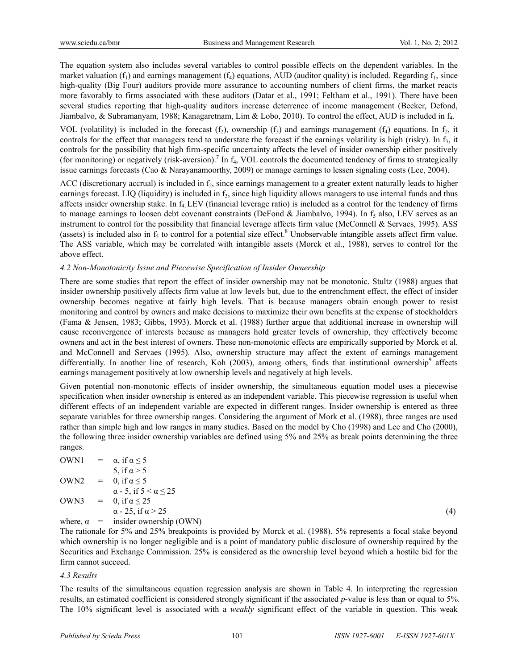The equation system also includes several variables to control possible effects on the dependent variables. In the market valuation  $(f_1)$  and earnings management  $(f_4)$  equations, AUD (auditor quality) is included. Regarding  $f_1$ , since high-quality (Big Four) auditors provide more assurance to accounting numbers of client firms, the market reacts more favorably to firms associated with these auditors (Datar et al., 1991; Feltham et al., 1991). There have been several studies reporting that high-quality auditors increase deterrence of income management (Becker, Defond, Jiambalvo, & Subramanyam, 1988; Kanagaretnam, Lim & Lobo, 2010). To control the effect, AUD is included in f<sub>4</sub>.

VOL (volatility) is included in the forecast  $(f_2)$ , ownership  $(f_3)$  and earnings management  $(f_4)$  equations. In  $f_2$ , it controls for the effect that managers tend to understate the forecast if the earnings volatility is high (risky). In f<sub>3</sub>, it controls for the possibility that high firm-specific uncertainty affects the level of insider ownership either positively (for monitoring) or negatively (risk-aversion).<sup>7</sup> In  $f_4$ , VOL controls the documented tendency of firms to strategically issue earnings forecasts (Cao & Narayanamoorthy, 2009) or manage earnings to lessen signaling costs (Lee, 2004).

ACC (discretionary accrual) is included in  $f_2$ , since earnings management to a greater extent naturally leads to higher earnings forecast. LIQ (liquidity) is included in f<sub>3</sub>, since high liquidity allows managers to use internal funds and thus affects insider ownership stake. In  $f_4$  LEV (financial leverage ratio) is included as a control for the tendency of firms to manage earnings to loosen debt covenant constraints (DeFond & Jiambalvo, 1994). In  $f<sub>5</sub>$  also, LEV serves as an instrument to control for the possibility that financial leverage affects firm value (McConnell & Servaes, 1995). ASS (assets) is included also in  $f_5$  to control for a potential size effect.<sup>8</sup> Unobservable intangible assets affect firm value. The ASS variable, which may be correlated with intangible assets (Morck et al., 1988), serves to control for the above effect.

# *4.2 Non-Monotonicity Issue and Piecewise Specification of Insider Ownership*

There are some studies that report the effect of insider ownership may not be monotonic. Stultz (1988) argues that insider ownership positively affects firm value at low levels but, due to the entrenchment effect, the effect of insider ownership becomes negative at fairly high levels. That is because managers obtain enough power to resist monitoring and control by owners and make decisions to maximize their own benefits at the expense of stockholders (Fama & Jensen, 1983; Gibbs, 1993). Morck et al. (1988) further argue that additional increase in ownership will cause reconvergence of interests because as managers hold greater levels of ownership, they effectively become owners and act in the best interest of owners. These non-monotonic effects are empirically supported by Morck et al. and McConnell and Servaes (1995). Also, ownership structure may affect the extent of earnings management differentially. In another line of research, Koh (2003), among others, finds that institutional ownership<sup>9</sup> affects earnings management positively at low ownership levels and negatively at high levels.

Given potential non-monotonic effects of insider ownership, the simultaneous equation model uses a piecewise specification when insider ownership is entered as an independent variable. This piecewise regression is useful when different effects of an independent variable are expected in different ranges. Insider ownership is entered as three separate variables for three ownership ranges. Considering the argument of Mork et al. (1988), three ranges are used rather than simple high and low ranges in many studies. Based on the model by Cho (1998) and Lee and Cho (2000), the following three insider ownership variables are defined using 5% and 25% as break points determining the three ranges.

|  | OWN1 = $\alpha$ , if $\alpha \leq 5$      |     |
|--|-------------------------------------------|-----|
|  | 5, if $\alpha$ > 5                        |     |
|  | OWN2 = $0, \text{ if } \alpha \leq 5$     |     |
|  | $\alpha$ - 5, if $5 < \alpha \leq 25$     |     |
|  | OWN3 = $0, \text{ if } \alpha \leq 25$    |     |
|  | $\alpha$ - 25, if $\alpha$ > 25           | (4) |
|  | where, $\alpha$ = insider ownership (OWN) |     |

The rationale for 5% and 25% breakpoints is provided by Morck et al. (1988). 5% represents a focal stake beyond which ownership is no longer negligible and is a point of mandatory public disclosure of ownership required by the Securities and Exchange Commission. 25% is considered as the ownership level beyond which a hostile bid for the firm cannot succeed.

#### *4.3 Results*

The results of the simultaneous equation regression analysis are shown in Table 4. In interpreting the regression results, an estimated coefficient is considered strongly significant if the associated *p*-value is less than or equal to 5%. The 10% significant level is associated with a *weakly* significant effect of the variable in question. This weak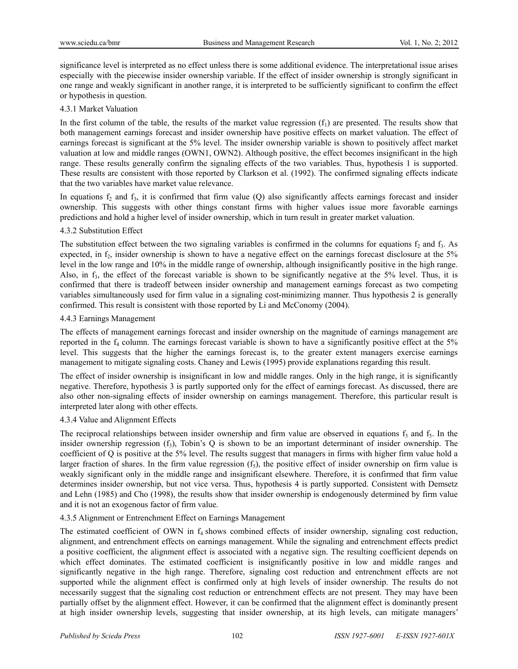significance level is interpreted as no effect unless there is some additional evidence. The interpretational issue arises especially with the piecewise insider ownership variable. If the effect of insider ownership is strongly significant in one range and weakly significant in another range, it is interpreted to be sufficiently significant to confirm the effect or hypothesis in question.

# 4.3.1 Market Valuation

In the first column of the table, the results of the market value regression  $(f_1)$  are presented. The results show that both management earnings forecast and insider ownership have positive effects on market valuation. The effect of earnings forecast is significant at the 5% level. The insider ownership variable is shown to positively affect market valuation at low and middle ranges (OWN1, OWN2). Although positive, the effect becomes insignificant in the high range. These results generally confirm the signaling effects of the two variables. Thus, hypothesis 1 is supported. These results are consistent with those reported by Clarkson et al. (1992). The confirmed signaling effects indicate that the two variables have market value relevance.

In equations  $f_2$  and  $f_3$ , it is confirmed that firm value (Q) also significantly affects earnings forecast and insider ownership. This suggests with other things constant firms with higher values issue more favorable earnings predictions and hold a higher level of insider ownership, which in turn result in greater market valuation.

#### 4.3.2 Substitution Effect

The substitution effect between the two signaling variables is confirmed in the columns for equations  $f_2$  and  $f_3$ . As expected, in  $f_2$ , insider ownership is shown to have a negative effect on the earnings forecast disclosure at the  $5\%$ level in the low range and 10% in the middle range of ownership, although insignificantly positive in the high range. Also, in  $f_3$ , the effect of the forecast variable is shown to be significantly negative at the 5% level. Thus, it is confirmed that there is tradeoff between insider ownership and management earnings forecast as two competing variables simultaneously used for firm value in a signaling cost-minimizing manner. Thus hypothesis 2 is generally confirmed. This result is consistent with those reported by Li and McConomy (2004).

#### 4.4.3 Earnings Management

The effects of management earnings forecast and insider ownership on the magnitude of earnings management are reported in the  $f_4$  column. The earnings forecast variable is shown to have a significantly positive effect at the  $5\%$ level. This suggests that the higher the earnings forecast is, to the greater extent managers exercise earnings management to mitigate signaling costs. Chaney and Lewis (1995) provide explanations regarding this result.

The effect of insider ownership is insignificant in low and middle ranges. Only in the high range, it is significantly negative. Therefore, hypothesis 3 is partly supported only for the effect of earnings forecast. As discussed, there are also other non-signaling effects of insider ownership on earnings management. Therefore, this particular result is interpreted later along with other effects.

# 4.3.4 Value and Alignment Effects

The reciprocal relationships between insider ownership and firm value are observed in equations  $f_3$  and  $f_5$ . In the insider ownership regression  $(f_3)$ , Tobin's Q is shown to be an important determinant of insider ownership. The coefficient of Q is positive at the 5% level. The results suggest that managers in firms with higher firm value hold a larger fraction of shares. In the firm value regression  $(f_5)$ , the positive effect of insider ownership on firm value is weakly significant only in the middle range and insignificant elsewhere. Therefore, it is confirmed that firm value determines insider ownership, but not vice versa. Thus, hypothesis 4 is partly supported. Consistent with Demsetz and Lehn (1985) and Cho (1998), the results show that insider ownership is endogenously determined by firm value and it is not an exogenous factor of firm value.

# 4.3.5 Alignment or Entrenchment Effect on Earnings Management

The estimated coefficient of OWN in  $f_4$  shows combined effects of insider ownership, signaling cost reduction, alignment, and entrenchment effects on earnings management. While the signaling and entrenchment effects predict a positive coefficient, the alignment effect is associated with a negative sign. The resulting coefficient depends on which effect dominates. The estimated coefficient is insignificantly positive in low and middle ranges and significantly negative in the high range. Therefore, signaling cost reduction and entrenchment effects are not supported while the alignment effect is confirmed only at high levels of insider ownership. The results do not necessarily suggest that the signaling cost reduction or entrenchment effects are not present. They may have been partially offset by the alignment effect. However, it can be confirmed that the alignment effect is dominantly present at high insider ownership levels, suggesting that insider ownership, at its high levels, can mitigate managers'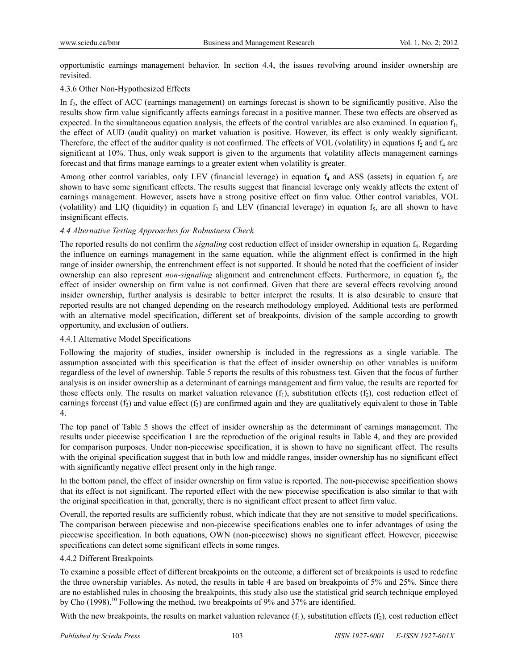opportunistic earnings management behavior. In section 4.4, the issues revolving around insider ownership are revisited.

# 4.3.6 Other Non-Hypothesized Effects

In f<sub>2</sub>, the effect of ACC (earnings management) on earnings forecast is shown to be significantly positive. Also the results show firm value significantly affects earnings forecast in a positive manner. These two effects are observed as expected. In the simultaneous equation analysis, the effects of the control variables are also examined. In equation  $f_1$ , the effect of AUD (audit quality) on market valuation is positive. However, its effect is only weakly significant. Therefore, the effect of the auditor quality is not confirmed. The effects of VOL (volatility) in equations  $f_2$  and  $f_4$  are significant at 10%. Thus, only weak support is given to the arguments that volatility affects management earnings forecast and that firms manage earnings to a greater extent when volatility is greater.

Among other control variables, only LEV (financial leverage) in equation  $f_4$  and ASS (assets) in equation  $f_5$  are shown to have some significant effects. The results suggest that financial leverage only weakly affects the extent of earnings management. However, assets have a strong positive effect on firm value. Other control variables, VOL (volatility) and LIQ (liquidity) in equation  $f_3$  and LEV (financial leverage) in equation  $f_5$ , are all shown to have insignificant effects.

# *4.4 Alternative Testing Approaches for Robustness Check*

The reported results do not confirm the *signaling* cost reduction effect of insider ownership in equation  $f_4$ . Regarding the influence on earnings management in the same equation, while the alignment effect is confirmed in the high range of insider ownership, the entrenchment effect is not supported. It should be noted that the coefficient of insider ownership can also represent *non-signaling* alignment and entrenchment effects. Furthermore, in equation f<sub>5</sub>, the effect of insider ownership on firm value is not confirmed. Given that there are several effects revolving around insider ownership, further analysis is desirable to better interpret the results. It is also desirable to ensure that reported results are not changed depending on the research methodology employed. Additional tests are performed with an alternative model specification, different set of breakpoints, division of the sample according to growth opportunity, and exclusion of outliers.

# 4.4.1 Alternative Model Specifications

Following the majority of studies, insider ownership is included in the regressions as a single variable. The assumption associated with this specification is that the effect of insider ownership on other variables is uniform regardless of the level of ownership. Table 5 reports the results of this robustness test. Given that the focus of further analysis is on insider ownership as a determinant of earnings management and firm value, the results are reported for those effects only. The results on market valuation relevance  $(f_1)$ , substitution effects  $(f_2)$ , cost reduction effect of earnings forecast  $(f_3)$  and value effect  $(f_3)$  are confirmed again and they are qualitatively equivalent to those in Table 4.

The top panel of Table 5 shows the effect of insider ownership as the determinant of earnings management. The results under piecewise specification 1 are the reproduction of the original results in Table 4, and they are provided for comparison purposes. Under non-piecewise specification, it is shown to have no significant effect. The results with the original specification suggest that in both low and middle ranges, insider ownership has no significant effect with significantly negative effect present only in the high range.

In the bottom panel, the effect of insider ownership on firm value is reported. The non-piecewise specification shows that its effect is not significant. The reported effect with the new piecewise specification is also similar to that with the original specification in that, generally, there is no significant effect present to affect firm value.

Overall, the reported results are sufficiently robust, which indicate that they are not sensitive to model specifications. The comparison between piecewise and non-piecewise specifications enables one to infer advantages of using the piecewise specification. In both equations, OWN (non-piecewise) shows no significant effect. However, piecewise specifications can detect some significant effects in some ranges.

# 4.4.2 Different Breakpoints

To examine a possible effect of different breakpoints on the outcome, a different set of breakpoints is used to redefine the three ownership variables. As noted, the results in table 4 are based on breakpoints of 5% and 25%. Since there are no established rules in choosing the breakpoints, this study also use the statistical grid search technique employed by Cho (1998).<sup>10</sup> Following the method, two breakpoints of 9% and 37% are identified.

With the new breakpoints, the results on market valuation relevance  $(f_1)$ , substitution effects  $(f_2)$ , cost reduction effect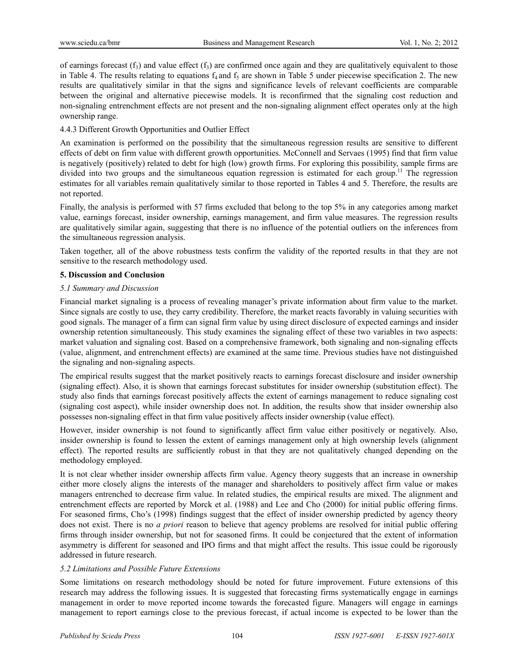of earnings forecast  $(f_3)$  and value effect  $(f_3)$  are confirmed once again and they are qualitatively equivalent to those in Table 4. The results relating to equations  $f_4$  and  $f_5$  are shown in Table 5 under piecewise specification 2. The new results are qualitatively similar in that the signs and significance levels of relevant coefficients are comparable between the original and alternative piecewise models. It is reconfirmed that the signaling cost reduction and non-signaling entrenchment effects are not present and the non-signaling alignment effect operates only at the high ownership range.

4.4.3 Different Growth Opportunities and Outlier Effect

An examination is performed on the possibility that the simultaneous regression results are sensitive to different effects of debt on firm value with different growth opportunities. McConnell and Servaes (1995) find that firm value is negatively (positively) related to debt for high (low) growth firms. For exploring this possibility, sample firms are divided into two groups and the simultaneous equation regression is estimated for each group.<sup>11</sup> The regression estimates for all variables remain qualitatively similar to those reported in Tables 4 and 5. Therefore, the results are not reported.

Finally, the analysis is performed with 57 firms excluded that belong to the top 5% in any categories among market value, earnings forecast, insider ownership, earnings management, and firm value measures. The regression results are qualitatively similar again, suggesting that there is no influence of the potential outliers on the inferences from the simultaneous regression analysis.

Taken together, all of the above robustness tests confirm the validity of the reported results in that they are not sensitive to the research methodology used.

# **5. Discussion and Conclusion**

# *5.1 Summary and Discussion*

Financial market signaling is a process of revealing manager's private information about firm value to the market. Since signals are costly to use, they carry credibility. Therefore, the market reacts favorably in valuing securities with good signals. The manager of a firm can signal firm value by using direct disclosure of expected earnings and insider ownership retention simultaneously. This study examines the signaling effect of these two variables in two aspects: market valuation and signaling cost. Based on a comprehensive framework, both signaling and non-signaling effects (value, alignment, and entrenchment effects) are examined at the same time. Previous studies have not distinguished the signaling and non-signaling aspects.

The empirical results suggest that the market positively reacts to earnings forecast disclosure and insider ownership (signaling effect). Also, it is shown that earnings forecast substitutes for insider ownership (substitution effect). The study also finds that earnings forecast positively affects the extent of earnings management to reduce signaling cost (signaling cost aspect), while insider ownership does not. In addition, the results show that insider ownership also possesses non-signaling effect in that firm value positively affects insider ownership (value effect).

However, insider ownership is not found to significantly affect firm value either positively or negatively. Also, insider ownership is found to lessen the extent of earnings management only at high ownership levels (alignment effect). The reported results are sufficiently robust in that they are not qualitatively changed depending on the methodology employed.

It is not clear whether insider ownership affects firm value. Agency theory suggests that an increase in ownership either more closely aligns the interests of the manager and shareholders to positively affect firm value or makes managers entrenched to decrease firm value. In related studies, the empirical results are mixed. The alignment and entrenchment effects are reported by Morck et al. (1988) and Lee and Cho (2000) for initial public offering firms. For seasoned firms, Cho's (1998) findings suggest that the effect of insider ownership predicted by agency theory does not exist. There is no *a priori* reason to believe that agency problems are resolved for initial public offering firms through insider ownership, but not for seasoned firms. It could be conjectured that the extent of information asymmetry is different for seasoned and IPO firms and that might affect the results. This issue could be rigorously addressed in future research.

# *5.2 Limitations and Possible Future Extensions*

Some limitations on research methodology should be noted for future improvement. Future extensions of this research may address the following issues. It is suggested that forecasting firms systematically engage in earnings management in order to move reported income towards the forecasted figure. Managers will engage in earnings management to report earnings close to the previous forecast, if actual income is expected to be lower than the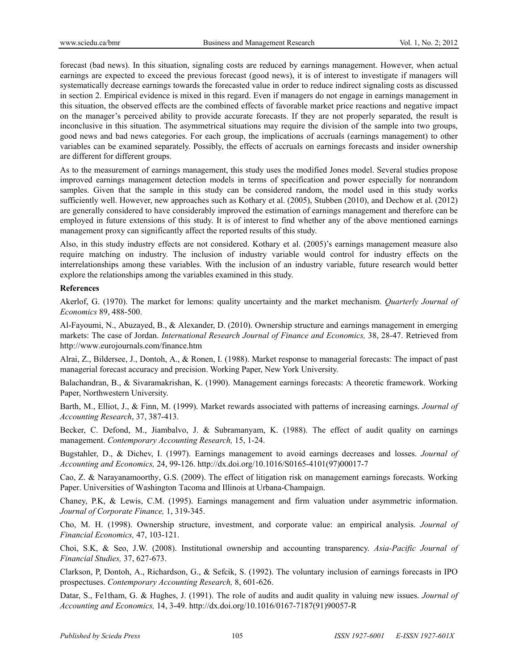forecast (bad news). In this situation, signaling costs are reduced by earnings management. However, when actual earnings are expected to exceed the previous forecast (good news), it is of interest to investigate if managers will systematically decrease earnings towards the forecasted value in order to reduce indirect signaling costs as discussed in section 2. Empirical evidence is mixed in this regard. Even if managers do not engage in earnings management in this situation, the observed effects are the combined effects of favorable market price reactions and negative impact on the manager's perceived ability to provide accurate forecasts. If they are not properly separated, the result is inconclusive in this situation. The asymmetrical situations may require the division of the sample into two groups, good news and bad news categories. For each group, the implications of accruals (earnings management) to other variables can be examined separately. Possibly, the effects of accruals on earnings forecasts and insider ownership are different for different groups.

As to the measurement of earnings management, this study uses the modified Jones model. Several studies propose improved earnings management detection models in terms of specification and power especially for nonrandom samples. Given that the sample in this study can be considered random, the model used in this study works sufficiently well. However, new approaches such as Kothary et al. (2005), Stubben (2010), and Dechow et al. (2012) are generally considered to have considerably improved the estimation of earnings management and therefore can be employed in future extensions of this study. It is of interest to find whether any of the above mentioned earnings management proxy can significantly affect the reported results of this study.

Also, in this study industry effects are not considered. Kothary et al. (2005)'s earnings management measure also require matching on industry. The inclusion of industry variable would control for industry effects on the interrelationships among these variables. With the inclusion of an industry variable, future research would better explore the relationships among the variables examined in this study.

# **References**

Akerlof, G. (1970). The market for lemons: quality uncertainty and the market mechanism. *Quarterly Journal of Economics* 89, 488-500.

Al-Fayoumi, N., Abuzayed, B., & Alexander, D. (2010). Ownership structure and earnings management in emerging markets: The case of Jordan. *International Research Journal of Finance and Economics,* 38, 28-47. Retrieved from http://www.eurojournals.com/finance.htm

Alrai, Z., Bildersee, J., Dontoh, A., & Ronen, I. (1988). Market response to managerial forecasts: The impact of past managerial forecast accuracy and precision. Working Paper, New York University.

Balachandran, B., & Sivaramakrishan, K. (1990). Management earnings forecasts: A theoretic framework. Working Paper, Northwestern University.

Barth, M., Elliot, J., & Finn, M. (1999). Market rewards associated with patterns of increasing earnings. *Journal of Accounting Research*, 37, 387-413.

Becker, C. Defond, M., Jiambalvo, J. & Subramanyam, K. (1988). The effect of audit quality on earnings management. *Contemporary Accounting Research,* 15, 1-24.

Bugstahler, D., & Dichev, I. (1997). Earnings management to avoid earnings decreases and losses. *Journal of Accounting and Economics,* 24, 99-126. http://dx.doi.org/10.1016/S0165-4101(97)00017-7

Cao, Z. & Narayanamoorthy, G.S. (2009). The effect of litigation risk on management earnings forecasts. Working Paper. Universities of Washington Tacoma and Illinois at Urbana-Champaign.

Chaney, P.K, & Lewis, C.M. (1995). Earnings management and firm valuation under asymmetric information. *Journal of Corporate Finance,* 1, 319-345.

Cho, M. H. (1998). Ownership structure, investment, and corporate value: an empirical analysis. *Journal of Financial Economics,* 47, 103-121.

Choi, S.K, & Seo, J.W. (2008). Institutional ownership and accounting transparency. *Asia-Pacific Journal of Financial Studies,* 37, 627-673.

Clarkson, P, Dontoh, A., Richardson, G., & Sefcik, S. (1992). The voluntary inclusion of earnings forecasts in IPO prospectuses. *Contemporary Accounting Research,* 8, 601-626.

Datar, S., Fe1tham, G. & Hughes, J. (1991). The role of audits and audit quality in valuing new issues. *Journal of Accounting and Economics,* 14, 3-49. http://dx.doi.org/10.1016/0167-7187(91)90057-R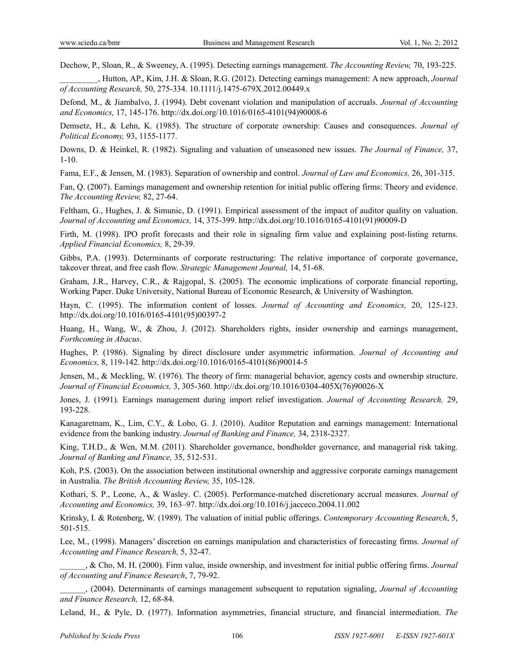Dechow, P., Sloan, R., & Sweeney, A. (1995). Detecting earnings management. *The Accounting Review,* 70, 193-225.

\_\_\_\_\_\_\_\_\_, Hutton, AP., Kim, J.H. & Sloan, R.G. (2012). Detecting earnings management: A new approach, *Journal of Accounting Research,* 50, 275-334. 10.1111/j.1475-679X.2012.00449.x

Defond, M., & Jiambalvo, J. (1994). Debt covenant violation and manipulation of accruals. *Journal of Accounting and Economics,* 17, 145-176. http://dx.doi.org/10.1016/0165-4101(94)90008-6

Demsetz, H., & Lehn, K. (1985). The structure of corporate ownership: Causes and consequences. *Journal of Political Economy,* 93, 1155-1177.

Downs, D. & Heinkel, R. (1982). Signaling and valuation of unseasoned new issues. *The Journal of Finance,* 37, 1-10.

Fama, E.F., & Jensen, M. (1983). Separation of ownership and control. *Journal of Law and Economics,* 26, 301-315.

Fan, Q. (2007). Earnings management and ownership retention for initial public offering firms: Theory and evidence. *The Accounting Review,* 82, 27-64.

Feltham, G., Hughes, J. & Simunic, D. (1991). Empirical assessment of the impact of auditor quality on valuation. *Journal of Accounting and Economics,* 14, 375-399. http://dx.doi.org/10.1016/0165-4101(91)90009-D

Firth, M. (1998). IPO profit forecasts and their role in signaling firm value and explaining post-listing returns. *Applied Financial Economics,* 8, 29-39.

Gibbs, P.A. (1993). Determinants of corporate restructuring: The relative importance of corporate governance, takeover threat, and free cash flow. *Strategic Management Journal,* 14, 51-68.

Graham, J.R., Harvey, C.R., & Rajgopal, S. (2005). The economic implications of corporate financial reporting, Working Paper. Duke University, National Bureau of Economic Research, & University of Washington.

Hayn, C. (1995). The information content of losses. *Journal of Accounting and Economics,* 20, 125-123. http://dx.doi.org/10.1016/0165-4101(95)00397-2

Huang, H., Wang, W., & Zhou, J. (2012). Shareholders rights, insider ownership and earnings management, *Forthcoming in Abacus*.

Hughes, P. (1986). Signaling by direct disclosure under asymmetric information. *Journal of Accounting and Economics,* 8, 119-142. http://dx.doi.org/10.1016/0165-4101(86)90014-5

Jensen, M., & Meckling, W. (1976). The theory of firm: managerial behavior, agency costs and ownership structure. *Journal of Financial Economics,* 3, 305-360. http://dx.doi.org/10.1016/0304-405X(76)90026-X

Jones, J. (1991). Earnings management during import relief investigation. *Journal of Accounting Research,* 29, 193-228.

Kanagaretnam, K., Lim, C.Y., & Lobo, G. J. (2010). Auditor Reputation and earnings management: International evidence from the banking industry. *Journal of Banking and Finance,* 34, 2318-2327.

King, T.H.D., & Wen, M.M. (2011). Shareholder governance, bondholder governance, and managerial risk taking. *Journal of Banking and Finance,* 35, 512-531.

Koh, P.S. (2003). On the association between institutional ownership and aggressive corporate earnings management in Australia. *The British Accounting Review,* 35, 105-128.

Kothari, S. P., Leone, A., & Wasley. C. (2005). Performance-matched discretionary accrual measures. *Journal of Accounting and Economics,* 39, 163–97. http://dx.doi.org/10.1016/j.jacceco.2004.11.002

Krinsky, I. & Rotenberg, W. (1989). The valuation of initial public offerings. *Contemporary Accounting Research*, 5, 501-515.

Lee, M., (1998). Managers' discretion on earnings manipulation and characteristics of forecasting firms. *Journal of Accounting and Finance Research,* 5, 32-47.

\_\_\_\_\_\_, & Cho, M. H. (2000). Firm value, inside ownership, and investment for initial public offering firms. *Journal of Accounting and Finance Research*, 7, 79-92.

\_\_\_\_\_\_, (2004). Determinants of earnings management subsequent to reputation signaling, *Journal of Accounting and Finance Research,* 12, 68-84.

Leland, H., & Pyle, D. (1977). Information asymmetries, financial structure, and financial intermediation. *The*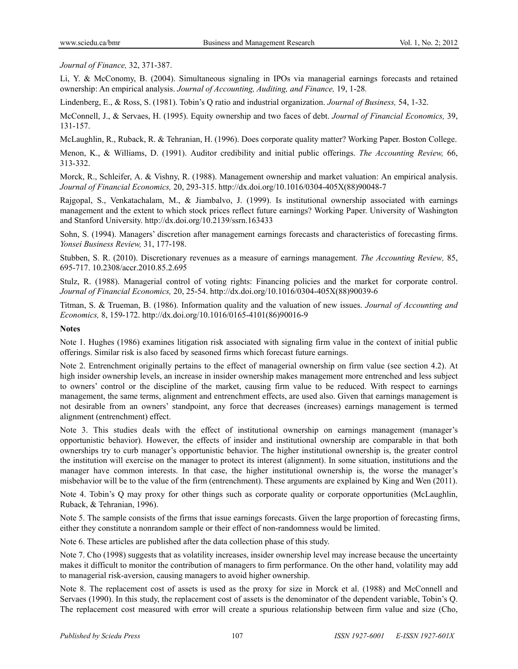# *Journal of Finance,* 32, 371-387.

Li, Y. & McConomy, B. (2004). Simultaneous signaling in IPOs via managerial earnings forecasts and retained ownership: An empirical analysis. *Journal of Accounting, Auditing, and Finance,* 19, 1-28*.* 

Lindenberg, E., & Ross, S. (1981). Tobin's Q ratio and industrial organization. *Journal of Business,* 54, 1-32.

McConnell, J., & Servaes, H. (1995). Equity ownership and two faces of debt. *Journal of Financial Economics,* 39, 131-157.

McLaughlin, R., Ruback, R. & Tehranian, H. (1996). Does corporate quality matter? Working Paper. Boston College.

Menon, K., & Williams, D. (1991). Auditor credibility and initial public offerings. *The Accounting Review,* 66, 313-332.

Morck, R., Schleifer, A. & Vishny, R. (1988). Management ownership and market valuation: An empirical analysis. *Journal of Financial Economics,* 20, 293-315. http://dx.doi.org/10.1016/0304-405X(88)90048-7

Rajgopal, S., Venkatachalam, M., & Jiambalvo, J. (1999). Is institutional ownership associated with earnings management and the extent to which stock prices reflect future earnings? Working Paper. University of Washington and Stanford University. http://dx.doi.org/10.2139/ssrn.163433

Sohn, S. (1994). Managers' discretion after management earnings forecasts and characteristics of forecasting firms. *Yonsei Business Review,* 31, 177-198.

Stubben, S. R. (2010). Discretionary revenues as a measure of earnings management. *The Accounting Review,* 85, 695-717. 10.2308/accr.2010.85.2.695

Stulz, R. (1988). Managerial control of voting rights: Financing policies and the market for corporate control. *Journal of Financial Economics,* 20, 25-54. http://dx.doi.org/10.1016/0304-405X(88)90039-6

Titman, S. & Trueman, B. (1986). Information quality and the valuation of new issues. *Journal of Accounting and Economics,* 8, 159-172. http://dx.doi.org/10.1016/0165-4101(86)90016-9

#### **Notes**

Note 1. Hughes (1986) examines litigation risk associated with signaling firm value in the context of initial public offerings. Similar risk is also faced by seasoned firms which forecast future earnings.

Note 2. Entrenchment originally pertains to the effect of managerial ownership on firm value (see section 4.2). At high insider ownership levels, an increase in insider ownership makes management more entrenched and less subject to owners' control or the discipline of the market, causing firm value to be reduced. With respect to earnings management, the same terms, alignment and entrenchment effects, are used also. Given that earnings management is not desirable from an owners' standpoint, any force that decreases (increases) earnings management is termed alignment (entrenchment) effect.

Note 3. This studies deals with the effect of institutional ownership on earnings management (manager's opportunistic behavior). However, the effects of insider and institutional ownership are comparable in that both ownerships try to curb manager's opportunistic behavior. The higher institutional ownership is, the greater control the institution will exercise on the manager to protect its interest (alignment). In some situation, institutions and the manager have common interests. In that case, the higher institutional ownership is, the worse the manager's misbehavior will be to the value of the firm (entrenchment). These arguments are explained by King and Wen (2011).

Note 4. Tobin's Q may proxy for other things such as corporate quality or corporate opportunities (McLaughlin, Ruback, & Tehranian, 1996).

Note 5. The sample consists of the firms that issue earnings forecasts. Given the large proportion of forecasting firms, either they constitute a nonrandom sample or their effect of non-randomness would be limited.

Note 6. These articles are published after the data collection phase of this study.

Note 7. Cho (1998) suggests that as volatility increases, insider ownership level may increase because the uncertainty makes it difficult to monitor the contribution of managers to firm performance. On the other hand, volatility may add to managerial risk-aversion, causing managers to avoid higher ownership.

Note 8. The replacement cost of assets is used as the proxy for size in Morck et al. (1988) and McConnell and Servaes (1990). In this study, the replacement cost of assets is the denominator of the dependent variable, Tobin's Q. The replacement cost measured with error will create a spurious relationship between firm value and size (Cho,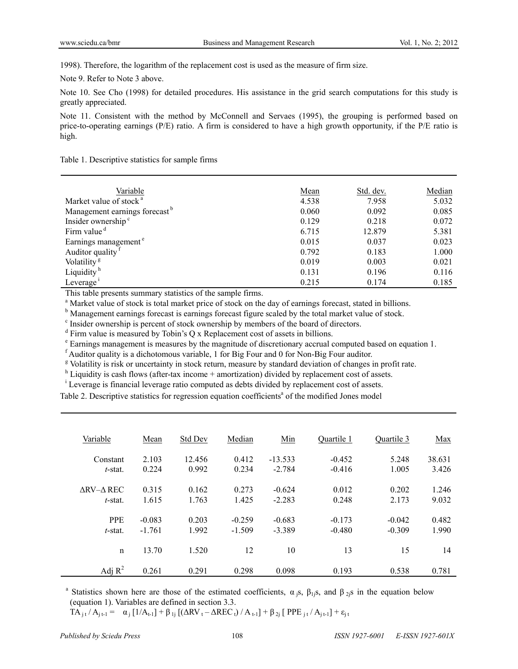1998). Therefore, the logarithm of the replacement cost is used as the measure of firm size.

Note 9. Refer to Note 3 above.

Note 10. See Cho (1998) for detailed procedures. His assistance in the grid search computations for this study is greatly appreciated.

Note 11. Consistent with the method by McConnell and Servaes (1995), the grouping is performed based on price-to-operating earnings (P/E) ratio. A firm is considered to have a high growth opportunity, if the P/E ratio is high.

Table 1. Descriptive statistics for sample firms

| Variable                                  | Mean  | Std. dev. | Median |
|-------------------------------------------|-------|-----------|--------|
| Market value of stock <sup>a</sup>        | 4.538 | 7.958     | 5.032  |
| Management earnings forecast <sup>b</sup> | 0.060 | 0.092     | 0.085  |
| Insider ownership <sup>c</sup>            | 0.129 | 0.218     | 0.072  |
| Firm value <sup>d</sup>                   | 6.715 | 12.879    | 5.381  |
| Earnings management <sup>e</sup>          | 0.015 | 0.037     | 0.023  |
| Auditor quality <sup>f</sup>              | 0.792 | 0.183     | 1.000  |
| Volatility <sup>g</sup>                   | 0.019 | 0.003     | 0.021  |
| Liquidity $h$                             | 0.131 | 0.196     | 0.116  |
| Leverage <sup>1</sup>                     | 0.215 | 0.174     | 0.185  |

This table presents summary statistics of the sample firms.

<sup>a</sup> Market value of stock is total market price of stock on the day of earnings forecast, stated in billions.

 $\mu$ <sup>b</sup> Management earnings forecast is earnings forecast figure scaled by the total market value of stock.

 $\epsilon$  Insider ownership is percent of stock ownership by members of the board of directors.

<sup>d</sup> Firm value is measured by Tobin's Q x Replacement cost of assets in billions.

<sup>e</sup> Earnings management is measures by the magnitude of discretionary accrual computed based on equation 1.<br><sup>f</sup> Auditor quality is a dishatamous variable 1 for Pig Four and 0 for Non-Pig Four auditor.

 $f$  Auditor quality is a dichotomous variable, 1 for Big Four and 0 for Non-Big Four auditor.

<sup>g</sup> Volatility is risk or uncertainty in stock return, measure by standard deviation of changes in profit rate.

 $h$  Liquidity is cash flows (after-tax income + amortization) divided by replacement cost of assets.

<sup>i</sup> Leverage is financial leverage ratio computed as debts divided by replacement cost of assets.

Table 2. Descriptive statistics for regression equation coefficients<sup>a</sup> of the modified Jones model

| Variable                  | Mean     | <b>Std Dev</b> | Median   | Min       | Ouartile 1 | Ouartile 3 | Max    |
|---------------------------|----------|----------------|----------|-----------|------------|------------|--------|
| Constant                  | 2.103    | 12.456         | 0.412    | $-13.533$ | $-0.452$   | 5.248      | 38.631 |
| $t$ -stat.                | 0.224    | 0.992          | 0.234    | $-2.784$  | $-0.416$   | 1.005      | 3.426  |
| $\Delta$ RV- $\Delta$ REC | 0.315    | 0.162          | 0.273    | $-0.624$  | 0.012      | 0.202      | 1.246  |
| $t$ -stat.                | 1.615    | 1.763          | 1.425    | $-2.283$  | 0.248      | 2.173      | 9.032  |
| <b>PPE</b>                | $-0.083$ | 0.203          | $-0.259$ | $-0.683$  | $-0.173$   | $-0.042$   | 0.482  |
| $t$ -stat.                | $-1.761$ | 1.992          | $-1.509$ | $-3.389$  | $-0.480$   | $-0.309$   | 1.990  |
| $\mathbf n$               | 13.70    | 1.520          | 12       | 10        | 13         | 15         | 14     |
| Adj $R^2$                 | 0.261    | 0.291          | 0.298    | 0.098     | 0.193      | 0.538      | 0.781  |

<sup>a</sup> Statistics shown here are those of the estimated coefficients,  $\alpha_1$ s,  $\beta_1$ <sub>j</sub>s, and  $\beta_2$ <sub>j</sub>s in the equation below (equation 1). Variables are defined in section 3.3.

 $TA_{i,t}/A_{i+1} = \alpha_i [1/A_{t-1}] + \beta_{1i} [(\Delta RV_t - \Delta REC_t)/A_{t-1}] + \beta_{2i} [PPE_{it}/A_{i+1}] + \epsilon_i$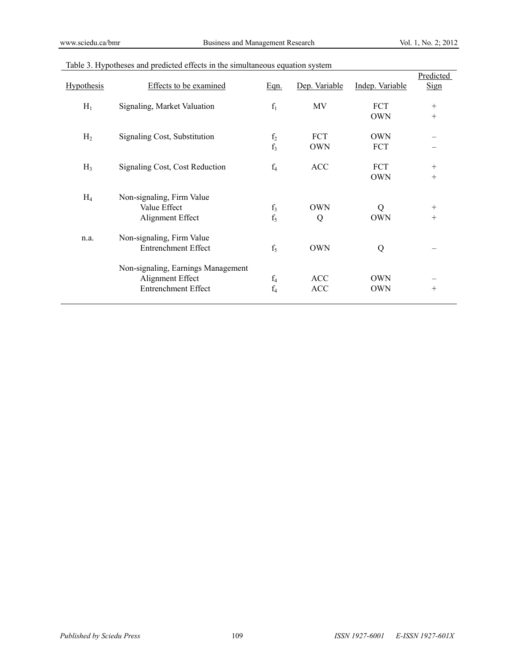| Hypothesis     | Effects to be examined                | Eqn.           | Dep. Variable | Indep. Variable | Predicted<br>Sign |
|----------------|---------------------------------------|----------------|---------------|-----------------|-------------------|
|                |                                       |                |               |                 |                   |
| $H_1$          | Signaling, Market Valuation           | $f_1$          | MV            | <b>FCT</b>      | $^{+}$            |
|                |                                       |                |               | <b>OWN</b>      | $+$               |
| H <sub>2</sub> | Signaling Cost, Substitution          | f <sub>2</sub> | <b>FCT</b>    | <b>OWN</b>      |                   |
|                |                                       | $f_3$          | <b>OWN</b>    | <b>FCT</b>      |                   |
| $H_3$          | <b>Signaling Cost, Cost Reduction</b> | $f_4$          | <b>ACC</b>    | <b>FCT</b>      | $^{+}$            |
|                |                                       |                |               | <b>OWN</b>      | $+$               |
| $H_4$          | Non-signaling, Firm Value             |                |               |                 |                   |
|                | Value Effect                          | $f_3$          | <b>OWN</b>    | O               | $^{+}$            |
|                | Alignment Effect                      | f <sub>5</sub> | Q             | <b>OWN</b>      | $+$               |
| n.a.           | Non-signaling, Firm Value             |                |               |                 |                   |
|                | <b>Entrenchment Effect</b>            | f <sub>5</sub> | <b>OWN</b>    | Q               |                   |
|                | Non-signaling, Earnings Management    |                |               |                 |                   |
|                | Alignment Effect                      | $f_4$          | <b>ACC</b>    | <b>OWN</b>      |                   |
|                | <b>Entrenchment Effect</b>            | $f_4$          | <b>ACC</b>    | <b>OWN</b>      | $^{+}$            |
|                |                                       |                |               |                 |                   |

# Table 3. Hypotheses and predicted effects in the simultaneous equation system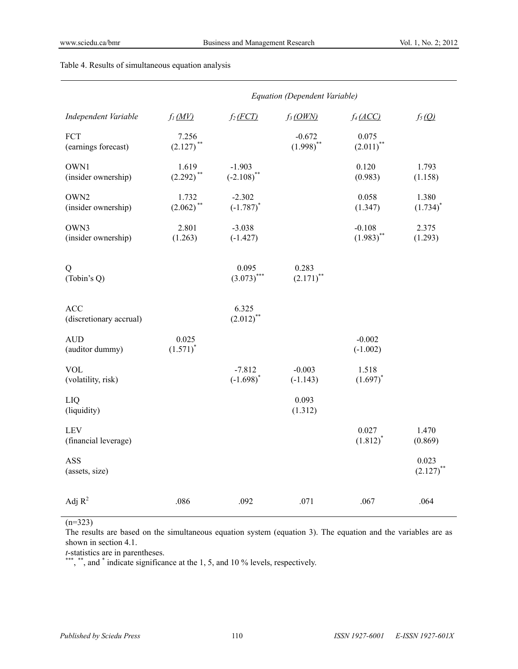#### Table 4. Results of simultaneous equation analysis

|                                       |                                  |                           | Equation (Dependent Variable)    |                          |                        |
|---------------------------------------|----------------------------------|---------------------------|----------------------------------|--------------------------|------------------------|
| Independent Variable                  | $f_I(MV)$                        | $f_2(FCT)$                | $f_3$ (OWN)                      | $f_4$ (ACC)              | $f_5(Q)$               |
| FCT<br>(earnings forecast)            | 7.256<br>$(2.127)$ <sup>**</sup> |                           | $-0.672$<br>$(1.998)$ **         | 0.075<br>$(2.011)$ **    |                        |
| OWN1<br>(insider ownership)           | 1.619<br>$(2.292)$ **            | $-1.903$<br>$(-2.108)$ ** |                                  | 0.120<br>(0.983)         | 1.793<br>(1.158)       |
| OWN2<br>(insider ownership)           | 1.732<br>$(2.062)$ **            | $-2.302$<br>$(-1.787)$ *  |                                  | 0.058<br>(1.347)         | 1.380<br>$(1.734)^{*}$ |
| OWN3<br>(insider ownership)           | 2.801<br>(1.263)                 | $-3.038$<br>$(-1.427)$    |                                  | $-0.108$<br>$(1.983)$ ** | 2.375<br>(1.293)       |
| Q<br>(Tobin's Q)                      |                                  | 0.095<br>$(3.073)$ ***    | 0.283<br>$(2.171)$ <sup>**</sup> |                          |                        |
| <b>ACC</b><br>(discretionary accrual) |                                  | 6.325<br>$(2.012)$ **     |                                  |                          |                        |
| <b>AUD</b><br>(auditor dummy)         | 0.025<br>$(1.571)^*$             |                           |                                  | $-0.002$<br>$(-1.002)$   |                        |
| <b>VOL</b><br>(volatility, risk)      |                                  | $-7.812$<br>$(-1.698)^*$  | $-0.003$<br>$(-1.143)$           | 1.518<br>$(1.697)^*$     |                        |
| LIQ<br>(liquidity)                    |                                  |                           | 0.093<br>(1.312)                 |                          |                        |
| <b>LEV</b><br>(financial leverage)    |                                  |                           |                                  | 0.027<br>$(1.812)^{*}$   | 1.470<br>(0.869)       |
| <b>ASS</b><br>(assets, size)          |                                  |                           |                                  |                          | 0.023<br>$(2.127)$ **  |
| Adj $R^2$                             | .086                             | .092                      | .071                             | .067                     | .064                   |

#### (n=323)

The results are based on the simultaneous equation system (equation 3). The equation and the variables are as shown in section 4.1.

*t*-statistics are in parentheses.

\*\*\*, \*\*, and \* indicate significance at the 1, 5, and 10 % levels, respectively.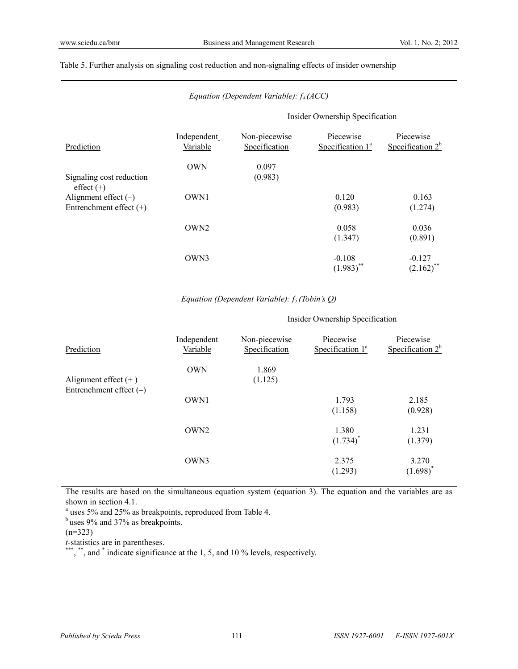# Table 5. Further analysis on signaling cost reduction and non-signaling effects of insider ownership

#### *Equation (Dependent Variable): f4 (ACC)*

Insider Ownership Specification

| Prediction                                          | Independent<br>Variable | Non-piecewise<br>Specification | Piecewise<br>Specification $1^a$    | Piecewise<br>Specification $2b$ |
|-----------------------------------------------------|-------------------------|--------------------------------|-------------------------------------|---------------------------------|
| Signaling cost reduction<br>effect $(+)$            | <b>OWN</b>              | 0.097<br>(0.983)               |                                     |                                 |
| Alignment effect $(-)$<br>Entrenchment effect $(+)$ | OWN1                    |                                | 0.120<br>(0.983)                    | 0.163<br>(1.274)                |
|                                                     | OWN <sub>2</sub>        |                                | 0.058<br>(1.347)                    | 0.036<br>(0.891)                |
|                                                     | OWN3                    |                                | $-0.108$<br>$(1.983)$ <sup>**</sup> | $-0.127$<br>$(2.162)$ **        |

*Equation (Dependent Variable): f<sub>5</sub> (Tobin's Q)* 

# Insider Ownership Specification

| Prediction                | Independent<br>Variable | Non-piecewise<br>Specification | Piecewise<br>Specification $1^a$ | Piecewise<br>Specification $2b$ |
|---------------------------|-------------------------|--------------------------------|----------------------------------|---------------------------------|
| Alignment effect $(+)$    | <b>OWN</b>              | 1.869<br>(1.125)               |                                  |                                 |
| Entrenchment effect $(-)$ | OWN1                    |                                | 1.793<br>(1.158)                 | 2.185<br>(0.928)                |
|                           | OWN <sub>2</sub>        |                                | 1.380<br>$(1.734)^*$             | 1.231<br>(1.379)                |
|                           | OWN3                    |                                | 2.375<br>(1.293)                 | 3.270<br>$(1.698)^*$            |

The results are based on the simultaneous equation system (equation 3). The equation and the variables are as shown in section 4.1.

<sup>a</sup> uses 5% and 25% as breakpoints, reproduced from Table 4.

 $<sup>b</sup>$  uses 9% and 37% as breakpoints.</sup>

 $(n=323)$ 

*t*-statistics are in parentheses.

\*\*\*, \*\*, and \* indicate significance at the 1, 5, and 10 % levels, respectively.